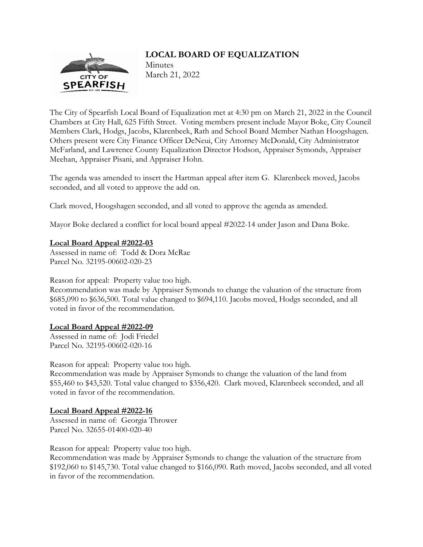# **LOCAL BOARD OF EQUALIZATION**



Minutes March 21, 2022

The City of Spearfish Local Board of Equalization met at 4:30 pm on March 21, 2022 in the Council Chambers at City Hall, 625 Fifth Street. Voting members present include Mayor Boke, City Council Members Clark, Hodgs, Jacobs, Klarenbeek, Rath and School Board Member Nathan Hoogshagen. Others present were City Finance Officer DeNeui, City Attorney McDonald, City Administrator McFarland, and Lawrence County Equalization Director Hodson, Appraiser Symonds, Appraiser Meehan, Appraiser Pisani, and Appraiser Hohn.

The agenda was amended to insert the Hartman appeal after item G. Klarenbeek moved, Jacobs seconded, and all voted to approve the add on.

Clark moved, Hoogshagen seconded, and all voted to approve the agenda as amended.

Mayor Boke declared a conflict for local board appeal #2022-14 under Jason and Dana Boke.

# **Local Board Appeal #2022-03**

Assessed in name of: Todd & Dora McRae Parcel No. 32195-00602-020-23

Reason for appeal: Property value too high.

Recommendation was made by Appraiser Symonds to change the valuation of the structure from \$685,090 to \$636,500. Total value changed to \$694,110. Jacobs moved, Hodgs seconded, and all voted in favor of the recommendation.

# **Local Board Appeal #2022-09**

Assessed in name of: Jodi Friedel Parcel No. 32195-00602-020-16

Reason for appeal: Property value too high.

Recommendation was made by Appraiser Symonds to change the valuation of the land from \$55,460 to \$43,520. Total value changed to \$356,420. Clark moved, Klarenbeek seconded, and all voted in favor of the recommendation.

# **Local Board Appeal #2022-16**

Assessed in name of: Georgia Thrower Parcel No. 32655-01400-020-40

Reason for appeal: Property value too high.

Recommendation was made by Appraiser Symonds to change the valuation of the structure from \$192,060 to \$145,730. Total value changed to \$166,090. Rath moved, Jacobs seconded, and all voted in favor of the recommendation.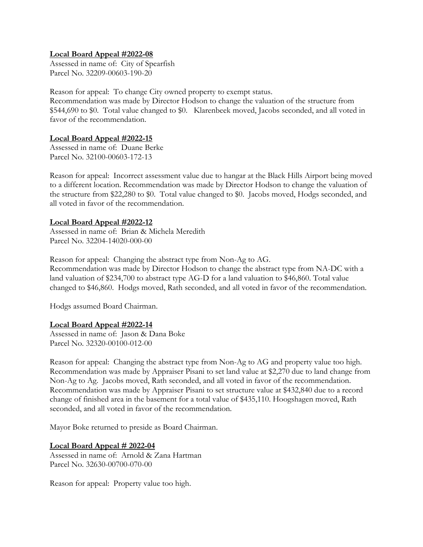#### **Local Board Appeal #2022-08**

Assessed in name of: City of Spearfish Parcel No. 32209-00603-190-20

Reason for appeal: To change City owned property to exempt status. Recommendation was made by Director Hodson to change the valuation of the structure from \$544,690 to \$0. Total value changed to \$0. Klarenbeek moved, Jacobs seconded, and all voted in favor of the recommendation.

# **Local Board Appeal #2022-15**

Assessed in name of: Duane Berke Parcel No. 32100-00603-172-13

Reason for appeal: Incorrect assessment value due to hangar at the Black Hills Airport being moved to a different location. Recommendation was made by Director Hodson to change the valuation of the structure from \$22,280 to \$0. Total value changed to \$0. Jacobs moved, Hodgs seconded, and all voted in favor of the recommendation.

#### **Local Board Appeal #2022-12**

Assessed in name of: Brian & Michela Meredith Parcel No. 32204-14020-000-00

Reason for appeal: Changing the abstract type from Non-Ag to AG. Recommendation was made by Director Hodson to change the abstract type from NA-DC with a land valuation of \$234,700 to abstract type AG-D for a land valuation to \$46,860. Total value changed to \$46,860. Hodgs moved, Rath seconded, and all voted in favor of the recommendation.

Hodgs assumed Board Chairman.

#### **Local Board Appeal #2022-14**

Assessed in name of: Jason & Dana Boke Parcel No. 32320-00100-012-00

Reason for appeal: Changing the abstract type from Non-Ag to AG and property value too high. Recommendation was made by Appraiser Pisani to set land value at \$2,270 due to land change from Non-Ag to Ag. Jacobs moved, Rath seconded, and all voted in favor of the recommendation. Recommendation was made by Appraiser Pisani to set structure value at \$432,840 due to a record change of finished area in the basement for a total value of \$435,110. Hoogshagen moved, Rath seconded, and all voted in favor of the recommendation.

Mayor Boke returned to preside as Board Chairman.

#### **Local Board Appeal # 2022-04**

Assessed in name of: Arnold & Zana Hartman Parcel No. 32630-00700-070-00

Reason for appeal: Property value too high.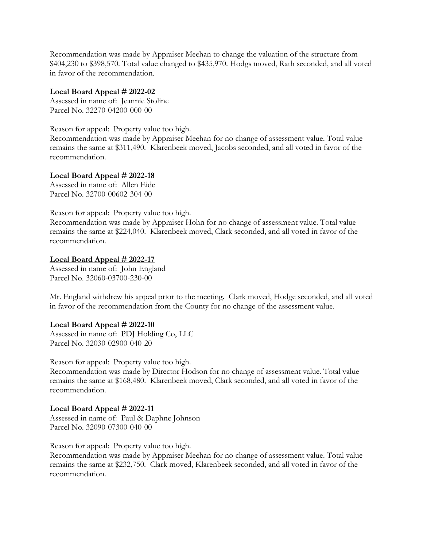Recommendation was made by Appraiser Meehan to change the valuation of the structure from \$404,230 to \$398,570. Total value changed to \$435,970. Hodgs moved, Rath seconded, and all voted in favor of the recommendation.

### **Local Board Appeal # 2022-02**

Assessed in name of: Jeannie Stoline Parcel No. 32270-04200-000-00

Reason for appeal: Property value too high.

Recommendation was made by Appraiser Meehan for no change of assessment value. Total value remains the same at \$311,490. Klarenbeek moved, Jacobs seconded, and all voted in favor of the recommendation.

#### **Local Board Appeal # 2022-18**

Assessed in name of: Allen Eide Parcel No. 32700-00602-304-00

Reason for appeal: Property value too high.

Recommendation was made by Appraiser Hohn for no change of assessment value. Total value remains the same at \$224,040. Klarenbeek moved, Clark seconded, and all voted in favor of the recommendation.

#### **Local Board Appeal # 2022-17**

Assessed in name of: John England Parcel No. 32060-03700-230-00

Mr. England withdrew his appeal prior to the meeting. Clark moved, Hodge seconded, and all voted in favor of the recommendation from the County for no change of the assessment value.

#### **Local Board Appeal # 2022-10**

Assessed in name of: PDJ Holding Co, LLC Parcel No. 32030-02900-040-20

Reason for appeal: Property value too high.

Recommendation was made by Director Hodson for no change of assessment value. Total value remains the same at \$168,480. Klarenbeek moved, Clark seconded, and all voted in favor of the recommendation.

# **Local Board Appeal # 2022-11**

Assessed in name of: Paul & Daphne Johnson Parcel No. 32090-07300-040-00

Reason for appeal: Property value too high.

Recommendation was made by Appraiser Meehan for no change of assessment value. Total value remains the same at \$232,750. Clark moved, Klarenbeek seconded, and all voted in favor of the recommendation.